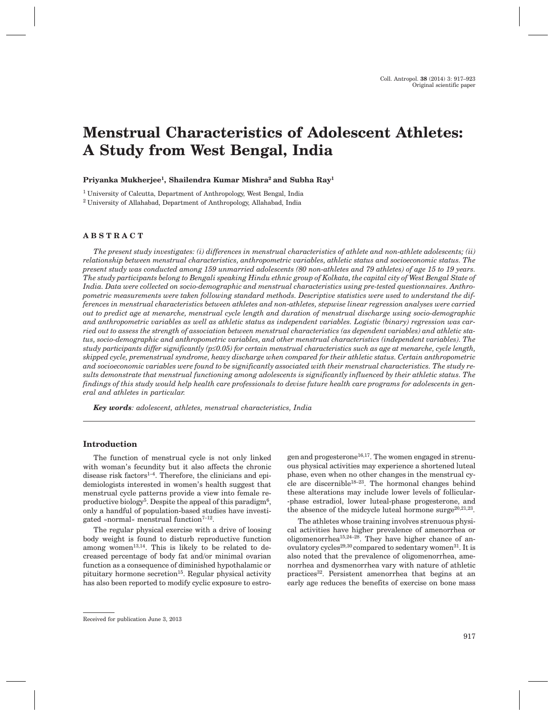# **Menstrual Characteristics of Adolescent Athletes: A Study from West Bengal, India**

**Priyanka Mukherjee1, Shailendra Kumar Mishra2 and Subha Ray1**

<sup>1</sup> University of Calcutta, Department of Anthropology, West Bengal, India <sup>2</sup> University of Allahabad, Department of Anthropology, Allahabad, India

# **ABSTRACT**

*The present study investigates: (i) differences in menstrual characteristics of athlete and non-athlete adolescents; (ii) relationship between menstrual characteristics, anthropometric variables, athletic status and socioeconomic status. The present study was conducted among 159 unmarried adolescents (80 non-athletes and 79 athletes) of age 15 to 19 years. The study participants belong to Bengali speaking Hindu ethnic group of Kolkata, the capital city of West Bengal State of India. Data were collected on socio-demographic and menstrual characteristics using pre-tested questionnaires. Anthropometric measurements were taken following standard methods. Descriptive statistics were used to understand the differences in menstrual characteristics between athletes and non-athletes, stepwise linear regression analyses were carried out to predict age at menarche, menstrual cycle length and duration of menstrual discharge using socio-demographic and anthropometric variables as well as athletic status as independent variables. Logistic (binary) regression was carried out to assess the strength of association between menstrual characteristics (as dependent variables) and athletic status, socio-demographic and anthropometric variables, and other menstrual characteristics (independent variables). The study participants differ significantly (p£0.05) for certain menstrual characteristics such as age at menarche, cycle length, skipped cycle, premenstrual syndrome, heavy discharge when compared for their athletic status. Certain anthropometric and socioeconomic variables were found to be significantly associated with their menstrual characteristics. The study results demonstrate that menstrual functioning among adolescents is significantly influenced by their athletic status. The findings of this study would help health care professionals to devise future health care programs for adolescents in general and athletes in particular.*

*Key words: adolescent, athletes, menstrual characteristics, India*

# **Introduction**

The function of menstrual cycle is not only linked with woman's fecundity but it also affects the chronic disease risk factors<sup>1-4</sup>. Therefore, the clinicians and epidemiologists interested in women's health suggest that menstrual cycle patterns provide a view into female reproductive biology<sup>5</sup>. Despite the appeal of this paradigm<sup>6</sup>, only a handful of population-based studies have investigated »normal« menstrual function $7-12$ .

The regular physical exercise with a drive of loosing body weight is found to disturb reproductive function among women<sup>13,14</sup>. This is likely to be related to decreased percentage of body fat and/or minimal ovarian function as a consequence of diminished hypothalamic or pituitary hormone secretion<sup>15</sup>. Regular physical activity has also been reported to modify cyclic exposure to estrogen and progesterone<sup>16,17</sup>. The women engaged in strenuous physical activities may experience a shortened luteal phase, even when no other changes in the menstrual cycle are discernible18–23. The hormonal changes behind these alterations may include lower levels of follicular- -phase estradiol, lower luteal-phase progesterone, and the absence of the midcycle luteal hormone surge $20,21,23$ .

The athletes whose training involves strenuous physical activities have higher prevalence of amenorrhea or oligomenorrhea<sup>15,24–28</sup>. They have higher chance of anovulatory cycles<sup>29,30</sup> compared to sedentary women<sup>31</sup>. It is also noted that the prevalence of oligomenorrhea, amenorrhea and dysmenorrhea vary with nature of athletic practices32. Persistent amenorrhea that begins at an early age reduces the benefits of exercise on bone mass

Received for publication June 3, 2013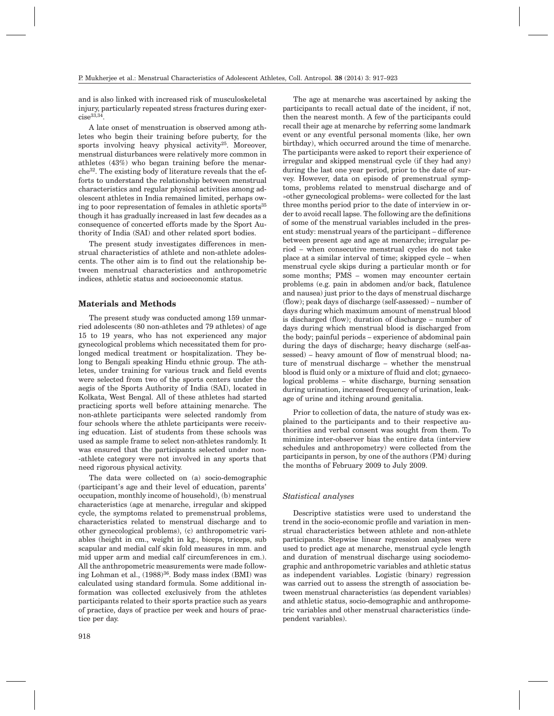and is also linked with increased risk of musculoskeletal injury, particularly repeated stress fractures during exer $cise<sup>33,34</sup>$ .

A late onset of menstruation is observed among athletes who begin their training before puberty, for the sports involving heavy physical activity<sup>25</sup>. Moreover, menstrual disturbances were relatively more common in athletes (43%) who began training before the menarche32. The existing body of literature reveals that the efforts to understand the relationship between menstrual characteristics and regular physical activities among adolescent athletes in India remained limited, perhaps owing to poor representation of females in athletic sports<sup>35</sup> though it has gradually increased in last few decades as a consequence of concerted efforts made by the Sport Authority of India (SAI) and other related sport bodies.

The present study investigates differences in menstrual characteristics of athlete and non-athlete adolescents. The other aim is to find out the relationship between menstrual characteristics and anthropometric indices, athletic status and socioeconomic status.

## **Materials and Methods**

The present study was conducted among 159 unmarried adolescents (80 non-athletes and 79 athletes) of age 15 to 19 years, who has not experienced any major gynecological problems which necessitated them for prolonged medical treatment or hospitalization. They belong to Bengali speaking Hindu ethnic group. The athletes, under training for various track and field events were selected from two of the sports centers under the aegis of the Sports Authority of India (SAI), located in Kolkata, West Bengal. All of these athletes had started practicing sports well before attaining menarche. The non-athlete participants were selected randomly from four schools where the athlete participants were receiving education. List of students from these schools was used as sample frame to select non-athletes randomly. It was ensured that the participants selected under non- -athlete category were not involved in any sports that need rigorous physical activity.

The data were collected on (a) socio-demographic (participant's age and their level of education, parents' occupation, monthly income of household), (b) menstrual characteristics (age at menarche, irregular and skipped cycle, the symptoms related to premenstrual problems, characteristics related to menstrual discharge and to other gynecological problems), (c) anthropometric variables (height in cm., weight in kg., biceps, triceps, sub scapular and medial calf skin fold measures in mm. and mid upper arm and medial calf circumferences in cm.). All the anthropometric measurements were made following Lohman et al.,  $(1988)^{36}$ . Body mass index (BMI) was calculated using standard formula. Some additional information was collected exclusively from the athletes participants related to their sports practice such as years of practice, days of practice per week and hours of practice per day.

participants to recall actual date of the incident, if not, then the nearest month. A few of the participants could recall their age at menarche by referring some landmark event or any eventful personal moments (like, her own birthday), which occurred around the time of menarche. The participants were asked to report their experience of irregular and skipped menstrual cycle (if they had any) during the last one year period, prior to the date of survey. However, data on episode of premenstrual symptoms, problems related to menstrual discharge and of »other gynecological problems« were collected for the last three months period prior to the date of interview in order to avoid recall lapse. The following are the definitions of some of the menstrual variables included in the present study: menstrual years of the participant – difference between present age and age at menarche; irregular period – when consecutive menstrual cycles do not take place at a similar interval of time; skipped cycle – when menstrual cycle skips during a particular month or for some months; PMS – women may encounter certain problems (e.g. pain in abdomen and/or back, flatulence and nausea) just prior to the days of menstrual discharge (flow); peak days of discharge (self-assessed) – number of days during which maximum amount of menstrual blood is discharged (flow); duration of discharge – number of days during which menstrual blood is discharged from the body; painful periods – experience of abdominal pain during the days of discharge; heavy discharge (self-assessed) – heavy amount of flow of menstrual blood; nature of menstrual discharge – whether the menstrual blood is fluid only or a mixture of fluid and clot; gynaecological problems – white discharge, burning sensation during urination, increased frequency of urination, leakage of urine and itching around genitalia.

The age at menarche was ascertained by asking the

Prior to collection of data, the nature of study was explained to the participants and to their respective authorities and verbal consent was sought from them. To minimize inter-observer bias the entire data (interview schedules and anthropometry) were collected from the participants in person, by one of the authors (PM) during the months of February 2009 to July 2009.

## *Statistical analyses*

Descriptive statistics were used to understand the trend in the socio-economic profile and variation in menstrual characteristics between athlete and non-athlete participants. Stepwise linear regression analyses were used to predict age at menarche, menstrual cycle length and duration of menstrual discharge using sociodemographic and anthropometric variables and athletic status as independent variables. Logistic (binary) regression was carried out to assess the strength of association between menstrual characteristics (as dependent variables) and athletic status, socio-demographic and anthropometric variables and other menstrual characteristics (independent variables).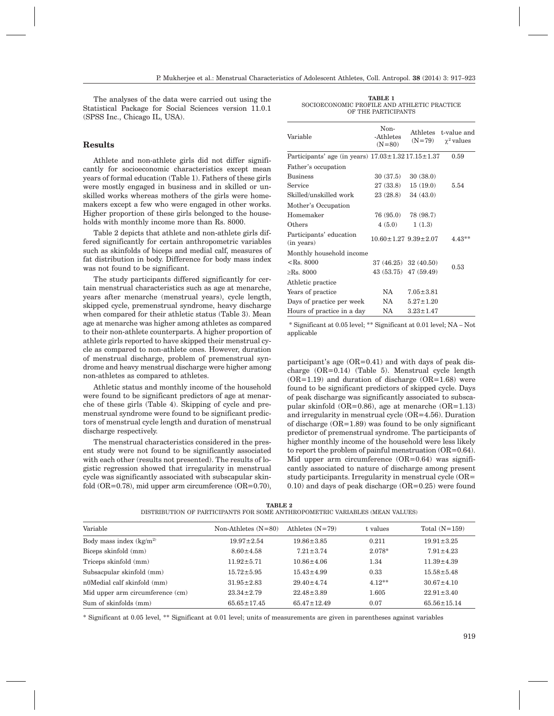The analyses of the data were carried out using the Statistical Package for Social Sciences version 11.0.1 (SPSS Inc., Chicago IL, USA).

# **Results**

Athlete and non-athlete girls did not differ significantly for socioeconomic characteristics except mean years of formal education (Table 1). Fathers of these girls were mostly engaged in business and in skilled or unskilled works whereas mothers of the girls were homemakers except a few who were engaged in other works. Higher proportion of these girls belonged to the households with monthly income more than Rs. 8000.

Table 2 depicts that athlete and non-athlete girls differed significantly for certain anthropometric variables such as skinfolds of biceps and medial calf, measures of fat distribution in body. Difference for body mass index was not found to be significant.

The study participants differed significantly for certain menstrual characteristics such as age at menarche, years after menarche (menstrual years), cycle length, skipped cycle, premenstrual syndrome, heavy discharge when compared for their athletic status (Table 3). Mean age at menarche was higher among athletes as compared to their non-athlete counterparts. A higher proportion of athlete girls reported to have skipped their menstrual cycle as compared to non-athlete ones. However, duration of menstrual discharge, problem of premenstrual syndrome and heavy menstrual discharge were higher among non-athletes as compared to athletes.

Athletic status and monthly income of the household were found to be significant predictors of age at menarche of these girls (Table 4). Skipping of cycle and premenstrual syndrome were found to be significant predictors of menstrual cycle length and duration of menstrual discharge respectively.

The menstrual characteristics considered in the present study were not found to be significantly associated with each other (results not presented). The results of logistic regression showed that irregularity in menstrual cycle was significantly associated with subscapular skinfold  $(OR=0.78)$ , mid upper arm circumference  $(OR=0.70)$ ,

**TABLE 1** SOCIOECONOMIC PROFILE AND ATHLETIC PRACTICE OF THE PARTICIPANTS

| Variable                                                       | Non-<br>-Athletes<br>$(N=80)$    | $(N=79)$        | Athletes t-value and<br>$\chi^2$ values |
|----------------------------------------------------------------|----------------------------------|-----------------|-----------------------------------------|
| Participants' age (in years) $17.03 \pm 1.32$ $17.15 \pm 1.37$ |                                  |                 | 0.59                                    |
| Father's occupation                                            |                                  |                 |                                         |
| <b>Business</b>                                                | 30 (37.5)                        | 30(38.0)        |                                         |
| Service                                                        | 27 (33.8)                        | 15(19.0)        | 5.54                                    |
| Skilled/unskilled work                                         | 23 (28.8)                        | 34 (43.0)       |                                         |
| Mother's Occupation                                            |                                  |                 |                                         |
| Homemaker                                                      | 76 (95.0)                        | 78 (98.7)       |                                         |
| Others                                                         | 4(5.0)                           | 1(1.3)          |                                         |
| Participants' education<br>(in years)                          | $10.60 \pm 1.27$ $9.39 \pm 2.07$ |                 | $4.43**$                                |
| Monthly household income                                       |                                  |                 |                                         |
| $<$ Rs. 8000                                                   | $37(46.25)$ $32(40.50)$          |                 |                                         |
| $>$ Rs. 8000                                                   | 43 (53.75) 47 (59.49)            |                 | 0.53                                    |
| Athletic practice                                              |                                  |                 |                                         |
| Years of practice                                              | NA.                              | $7.05 \pm 3.81$ |                                         |
| Days of practice per week                                      | NA.                              | $5.27 \pm 1.20$ |                                         |
| Hours of practice in a day                                     | NA                               | $3.23 \pm 1.47$ |                                         |

\* Significant at 0.05 level; \*\* Significant at 0.01 level; NA – Not applicable

participant's age  $(OR=0.41)$  and with days of peak discharge (OR=0.14) (Table 5). Menstrual cycle length  $(OR=1.19)$  and duration of discharge  $(OR=1.68)$  were found to be significant predictors of skipped cycle. Days of peak discharge was significantly associated to subscapular skinfold (OR=0.86), age at menarche (OR=1.13) and irregularity in menstrual cycle (OR=4.56). Duration of discharge (OR=1.89) was found to be only significant predictor of premenstrual syndrome. The participants of higher monthly income of the household were less likely to report the problem of painful menstruation (OR=0.64). Mid upper arm circumference  $(OR=0.64)$  was significantly associated to nature of discharge among present study participants. Irregularity in menstrual cycle (OR=  $(0.10)$  and days of peak discharge  $(OR=0.25)$  were found

| <b>TABLE 2</b>                                                               |  |
|------------------------------------------------------------------------------|--|
| DISTRIBUTION OF PARTICIPANTS FOR SOME ANTHROPOMETRIC VARIABLES (MEAN VALUES) |  |

| Variable                         | Non-Athletes $(N=80)$ | Athletes $(N=79)$ | t values | Total $(N=159)$   |
|----------------------------------|-----------------------|-------------------|----------|-------------------|
| Body mass index $(kg/m^2)$       | $19.97 \pm 2.54$      | $19.86 \pm 3.85$  | 0.211    | $19.91 \pm 3.25$  |
| Biceps skinfold (mm)             | $8.60 \pm 4.58$       | $7.21 \pm 3.74$   | 2.078*   | $7.91 \pm 4.23$   |
| Triceps skinfold (mm)            | $11.92 \pm 5.71$      | $10.86 \pm 4.06$  | 1.34     | $11.39 \pm 4.39$  |
| Subsacpular skinfold (mm)        | $15.72 \pm 5.95$      | $15.43 \pm 4.99$  | 0.33     | $15.58 \pm 5.48$  |
| n0Medial calf skinfold (mm)      | $31.95 \pm 2.83$      | $29.40 \pm 4.74$  | $4.12**$ | $30.67 \pm 4.10$  |
| Mid upper arm circumference (cm) | $23.34 \pm 2.79$      | $22.48 \pm 3.89$  | 1.605    | $22.91 \pm 3.40$  |
| Sum of skinfolds (mm)            | $65.65 \pm 17.45$     | $65.47 \pm 12.49$ | 0.07     | $65.56 \pm 15.14$ |

\* Significant at 0.05 level, \*\* Significant at 0.01 level; units of measurements are given in parentheses against variables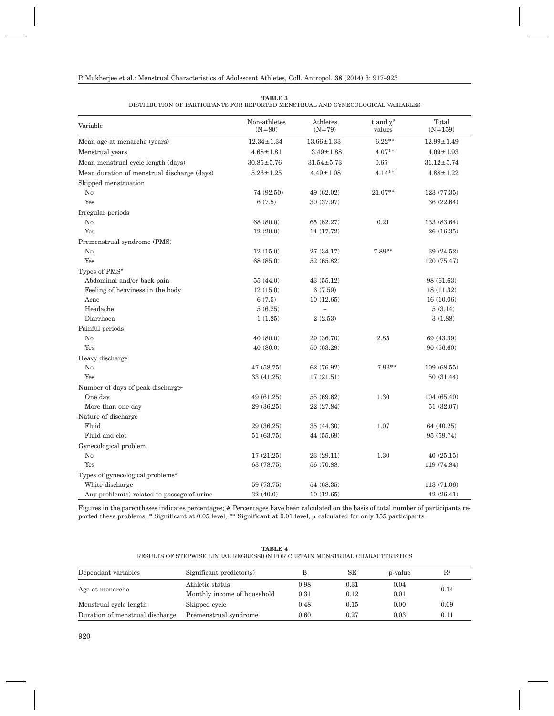| Variable                                      | Non-athletes<br>$(N=80)$ | Athletes<br>$(N = 79)$ | t and $\chi^2$<br>values | Total<br>$(N=159)$ |
|-----------------------------------------------|--------------------------|------------------------|--------------------------|--------------------|
| Mean age at menarche (years)                  | $12.34 \pm 1.34$         | $13.66 \pm 1.33$       | $6.22**$                 | $12.99 \pm 1.49$   |
| Menstrual years                               | $4.68 \pm 1.81$          | $3.49 \pm 1.88$        | $4.07**$                 | $4.09 \pm 1.93$    |
|                                               | $30.85 \pm 5.76$         | $31.54 \pm 5.73$       |                          | $31.12 \pm 5.74$   |
| Mean menstrual cycle length (days)            |                          |                        | 0.67                     |                    |
| Mean duration of menstrual discharge (days)   | $5.26 \pm 1.25$          | $4.49 \pm 1.08$        | $4.14**$                 | $4.88 \pm 1.22$    |
| Skipped menstruation                          |                          |                        |                          |                    |
| No                                            | 74 (92.50)               | 49 (62.02)             | 21.07**                  | 123 (77.35)        |
| Yes                                           | 6(7.5)                   | 30 (37.97)             |                          | 36 (22.64)         |
| Irregular periods                             |                          |                        |                          |                    |
| No                                            | 68 (80.0)                | 65 (82.27)             | 0.21                     | 133 (83.64)        |
| Yes                                           | 12(20.0)                 | 14 (17.72)             |                          | 26 (16.35)         |
| Premenstrual syndrome (PMS)                   |                          |                        |                          |                    |
| No                                            | 12(15.0)                 | 27(34.17)              | 7.89**                   | 39 (24.52)         |
| Yes                                           | 68 (85.0)                | 52 (65.82)             |                          | 120 (75.47)        |
| Types of PMS <sup>#</sup>                     |                          |                        |                          |                    |
| Abdominal and/or back pain                    | 55(44.0)                 | 43(55.12)              |                          | 98 (61.63)         |
| Feeling of heaviness in the body              | 12(15.0)                 | 6(7.59)                |                          | 18(11.32)          |
| Acne                                          | 6(7.5)                   | 10(12.65)              |                          | 16(10.06)          |
| Headache                                      | 5(6.25)                  | $\overline{a}$         |                          | 5(3.14)            |
| Diarrhoea                                     | 1(1.25)                  | 2(2.53)                |                          | 3(1.88)            |
| Painful periods                               |                          |                        |                          |                    |
| No                                            | 40(80.0)                 | 29 (36.70)             | 2.85                     | 69 (43.39)         |
| Yes                                           | 40(80.0)                 | 50 (63.29)             |                          | 90(56.60)          |
| Heavy discharge                               |                          |                        |                          |                    |
| No                                            | 47 (58.75)               | 62 (76.92)             | $7.93**$                 | 109(68.55)         |
| Yes                                           | 33(41.25)                | 17(21.51)              |                          | 50(31.44)          |
| Number of days of peak discharge <sup>"</sup> |                          |                        |                          |                    |
| One day                                       | 49 (61.25)               | 55 (69.62)             | 1.30                     | 104(65.40)         |
| More than one day                             | 29 (36.25)               | 22 (27.84)             |                          | 51 (32.07)         |
| Nature of discharge                           |                          |                        |                          |                    |
| Fluid                                         | 29 (36.25)               | 35(44.30)              | 1.07                     | 64 (40.25)         |
| Fluid and clot                                | 51(63.75)                | 44 (55.69)             |                          | 95 (59.74)         |
| Gynecological problem                         |                          |                        |                          |                    |
| No                                            | 17(21.25)                | 23 (29.11)             | 1.30                     | 40(25.15)          |
| Yes                                           | 63 (78.75)               | 56 (70.88)             |                          | 119 (74.84)        |
| Types of gynecological problems <sup>#</sup>  |                          |                        |                          |                    |
| White discharge                               | 59 (73.75)               | 54 (68.35)             |                          | 113 (71.06)        |
| Any problem(s) related to passage of urine    | 32(40.0)                 | 10(12.65)              |                          | 42(26.41)          |
|                                               |                          |                        |                          |                    |

| <b>TABLE 3</b>                                                                  |  |
|---------------------------------------------------------------------------------|--|
| DISTRIBUTION OF PARTICIPANTS FOR REPORTED MENSTRUAL AND GYNECOLOGICAL VARIABLES |  |

Figures in the parentheses indicates percentages; # Percentages have been calculated on the basis of total number of participants reported these problems; \* Significant at 0.05 level, \*\* Significant at 0.01 level,  $\mu$  calculated for only 155 participants

|           | RESULTS OF STEPWISE LINEAR REGRESSION FOR CERTAIN MENSTRUAL CHARACTERISTICS |  |  |
|-----------|-----------------------------------------------------------------------------|--|--|
| variables | Significant predictor(s)                                                    |  |  |

**TABLE 4**

| Dependant variables             | Significant predictor(s)    |          | SE   | p-value | $\mathrm{R}^2$ |
|---------------------------------|-----------------------------|----------|------|---------|----------------|
|                                 | Athletic status             | $0.98\,$ | 0.31 | 0.04    |                |
| Age at menarche                 | Monthly income of household | 0.31     | 0.12 | 0.01    | 0.14           |
| Menstrual cycle length          | Skipped cycle               | 0.48     | 0.15 | 0.00    | 0.09           |
| Duration of menstrual discharge | Premenstrual syndrome       | 0.60     | 0.27 | 0.03    | 0.11           |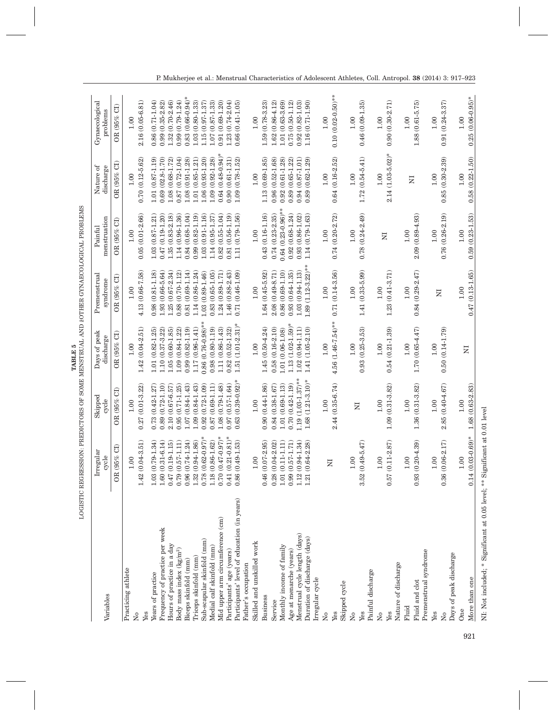| Variables                                                          | Irregular<br>cycle                              | Skipped<br>cycle                      | Days of peak<br>discharge               | Premenstrual<br>syndrome                     | menstruation<br>Painful                        | Nature of<br>discharge                     | Gynaecological<br>problems              |
|--------------------------------------------------------------------|-------------------------------------------------|---------------------------------------|-----------------------------------------|----------------------------------------------|------------------------------------------------|--------------------------------------------|-----------------------------------------|
|                                                                    | OR (95% CI)                                     | ට්<br>(95%<br>OR <sub></sub>          | ට්<br>$-65%$<br>$\approx$               | OR (95%                                      | 5<br>OR (95%                                   | ರ<br>OR $(95\%$                            | $\Xi$<br>(95%<br>OR <sub></sub>         |
| Practicing athlete<br>$\overline{N}^{\circ}$                       | $1 - 3.51$<br>1.00<br>1.42(0.04                 | $(0.01 - 3.22)$<br>1.00<br>0.27       | $(0.04 - 2.51)$<br>1.00<br>1.42         | 1.00<br>4.13                                 | 1.00                                           | $(0.12 - 5.62)$<br>1.00<br>0.70            | $2.16(0.05 - 6.81)$<br>1.00             |
| Yes                                                                |                                                 |                                       |                                         | $(0.66 - 7.58)$                              | $0.05(0.01 - 2.66)$                            |                                            |                                         |
| Years of practice                                                  | $1.03(0.79 - 1.34)$                             | 27<br>$(0.42 - 1.$<br>0.73            | $(0.82 - 1.25)$<br>1.01                 | $1.93(0.66-5.64)$<br>$(0.81 - 1.18)$<br>0.98 | $(0.87 - 1.21)$<br>$0.47(0.19 - 1.20)$<br>1.03 | $(0.87 - 1.19)$<br>0.69<br>$1.01\,$        | $0.99(0.35 - 2.82)$<br>0.86 (0.71-1.04) |
| Frequency of practice per week                                     | $1 - 6.14$<br>$0.47(0.19 - 1.15)$<br>1.60(0.31) | $0.89(0.72-1.10)$<br>2.10 (0.67-6.57) | 1.05 (0.60-1.85)<br>$1.10(0.37 - 3.22)$ | $1.25(0.67-2.34)$                            | 1.35 (0.83-2.18)                               | $(02.8 - 1.70)$<br>1.08                    | 1.32 (0.70-2.46)                        |
| Hours of practice in a day<br>Body mass index $(kg/m^2)$           | $0.79(0.57 - 1.11)$                             | $0.95(0.71 - 1.25)$                   | $1.09(0.84 - 1.22)$                     | $0.88(0.70-1.12)$                            | 1.14 (0.96-1.36)                               | $(0.72 - 1.04)$<br>$(0.68 - 1.72)$<br>0.87 | $0.99(0.79 - 1.24)$                     |
| Biceps skinfold (mm)                                               | $0.96(0.74 - 1.24)$                             | $1.07(0.84 - 1.43)$                   | $0.99(0.82 - 1.19)$                     | $0.81(0.69-1.14)$                            | $0.84(0.68-1.04)$                              | $(0.91 - 1.28)$<br>1.08                    | $0.83(0.66-0.94)$ *                     |
| Triceps skinfold (mm)                                              | 1.32 (0.94-1.86)                                | 1.09 (0.84-1.43)                      | $1.17(0.96 - 1.41)$                     | 1.14 (0.86-1.24)                             | $0.99(0.82 - 1.19)$                            | $(0.85 - 1.21)$<br>1.01                    | 1.03 (0.80-1.33)                        |
| Sub-scapular skinfold (mm)                                         | $0.78(0.62-0.97)$ *                             | $0.92(0.72 - 1.09)$                   | $0.86(0.76-0.98)$ *                     | 1.03 (0.89-1.46)                             | $1.03(0.91 - 1.16)$                            | $1.06(0.93-1.20)$                          | $1.15(0.97 - 1.37)$                     |
| Medial calf skinfold (mm)                                          | 1.18 (0.86-1.62)                                | $0.87(0.69-1.11)$                     | $0.98(0.80 - 1.19)$                     | $0.83(0.65 - 1.05)$                          | $1.14(0.95 - 1.37)$                            | 1.09 (0.92-1.28)                           | $1.07(0.87 - 1.33)$                     |
| Mid upper arm circumference (cm)                                   | $0.70(0.47-0.97)$ *                             | 1.08 (0.79-1.48)                      | 1.11 (0.86-1.43)                        | $(0.89 - 1.71)$<br>1.24                      | $0.82(0.55 - 1.04)$                            | $(0.48 - 0.94)$ *<br>0.64                  | $(0.69 - 1.20)$<br>0.91                 |
| Participants' age (years)                                          | $0.41(0.21-0.81)$ *                             | $0.97(0.57 - 1.64)$                   | $0.82(0.52 - 1.32)$                     | 1.46 (0.88-2.43)                             | $0.81(0.56 - 1.19)$                            | $(0.61 - 1.31)$<br>0.90                    | 1.23 (0.74-2.04)                        |
| Participants' level of education (in years)<br>Father's occupation | $0.86(0.49 - 1.53)$                             | $0.63(0.39-0.92)$                     | $1.51(1.01-2.31)$                       | $0.71(0.46 - 1.09)$                          | 1.11 (0.79-1.56)                               | $(0.78 - 1.52)$<br>1.09                    | $0.66(0.41 - 1.05$                      |
| Skilled and unskilled work                                         | 1.00                                            | 1.00                                  | 1.00                                    | 1.00                                         | 1.00                                           | 1.00                                       | 1.00                                    |
| Business                                                           | $0.46(0.07 - 2.95)$                             | $0.90(0.44-1.86)$                     | $1.45(0.50 - 4.24)$                     | $1.64(0.45-5.92)$                            | $0.43(0.16 - 1.16)$                            | $(0.69 - 1.85)$<br>1.13                    | 1.59 (0.78-3.23)                        |
| Service                                                            | $1 - 2.02$<br>0.28(0.04                         | $0.84(0.38 - 1.67)$                   | $0.58(0.16-2.10)$                       | 2.08 (0.49-8.71)                             | $0.74(0.23 - 2.35)$                            | $(0.52 - 1.68)$<br>0.96                    | 1.62 (0.86-4.12)                        |
| Monthly income of family                                           | $(-1.11)$<br>1.01(0.11)                         | $1.01(0.69-1.13)$                     | 1.01 (0.06-1.08)                        | $0.86(0.69-1.10)$                            | $0.64(0.23-0.96)$ **                           | $(0.61 - 1.28)$<br>0.92                    | $1.01(0.63 - 3.69)$                     |
| Age at menarche (years)                                            | $7 - 1.71$<br>0.99(0.57)                        | $0.70(0.42 - 1.19)$                   | $1.13(1.02-1.59)$ <sup>*</sup>          | $0.93(0.64 - 1.35)$                          | $0.92(0.68 - 1.24)$                            | $(0.65 - 1.22)$<br>0.89                    | $0.75(0.50 - 1.12)$                     |
| Menstrual cycle length (days)                                      | 1.34<br>1.12 (0.94                              | $1.19(1.03-1.37)$ **                  | $1.02(0.94 - 1.11)$                     | $1.03(0.94 - 1.13)$                          | $0.93(0.86 - 1.02)$                            | $(0.87 - 1.01)$<br>0.94                    | $0.92(0.82 - 1.03)$                     |
| Duration of discharge (days)                                       | $1 - 2.28$<br>1.21 (0.64                        | $1.68(1.21-3.10)$ *                   | 1.41 (1.05-2.10)                        | $1.89(1.12-3.22)$ **                         | 1.14 (0.79-1.63)                               | $(0.62 - 1.29)$<br>0.89                    | $1.16(0.71-1.90)$                       |
| megular cycle                                                      |                                                 |                                       |                                         |                                              |                                                |                                            |                                         |
| $\overline{\mathsf{z}}$                                            | $\overline{\mathbf{z}}$                         | 1.00                                  | $1.00\,$                                | 1.00                                         | $1.00$                                         | 1.00                                       | 1.00                                    |
| Yes                                                                |                                                 | $(0.35 - 6.74)$<br>2.44               | $4.56(1.46-7.54)$ **                    | $0.71(0.14-3.56)$                            | $0.74(0.20 - 2.72)$                            | $0.64(0.16 - 2.52)$                        | $0.10(0.02 - 0.50)$ **                  |
| Skipped cycle                                                      |                                                 |                                       |                                         |                                              |                                                |                                            |                                         |
| $\overline{S}$                                                     | 0.100                                           |                                       | 1.00                                    | 1.00                                         | 1.00                                           | $1.00\,$                                   | 1.00                                    |
| Yes                                                                | $3.52(0.49 - 5.47)$                             | Z                                     | $0.93(0.25 - 3.53)$                     | $1.41(0.33-5.99)$                            | $0.78(0.24 - 2.49)$                            | $(0.54 - 5.41)$<br>1.72                    | $0.46(0.09 - 1.35)$                     |
| Painful discharge                                                  |                                                 |                                       |                                         |                                              |                                                |                                            |                                         |
| $\overline{\mathsf{z}}$                                            | 1,00                                            | 1.00                                  | 1.00                                    | 1.00                                         |                                                | 1.00                                       | 1.00                                    |
| Yes                                                                | $1 - 2.87$<br>0.57(0.11)                        | $1.09(0.31 - 3.82)$                   | $0.54(0.21 - 1.39)$                     | $1.23(0.41-3.71)$                            | $\overline{z}$                                 | $2.14(1.03-5.02)^{*}$                      | $0.90(0.30 - 2.71)$                     |
| Nature of discharge                                                |                                                 |                                       |                                         |                                              |                                                |                                            |                                         |
| Fluid                                                              | 001                                             | 1.00                                  | 1.00                                    | 1.00                                         | $1.00$                                         |                                            | 1.00                                    |
| Fluid and clot                                                     | $-4.39$<br>0.93(0.20)                           | $(0.31 - 3.82)$<br>1.36               | $1.70(0.65 - 4.47)$                     | $0.84(0.29 - 2.47)$                          | 2.09 (0.89-4.93)                               | Σ                                          | $1.88(0.61 - 5.75)$                     |
| Premenstrual syndrome                                              |                                                 |                                       |                                         |                                              |                                                |                                            |                                         |
| Yes                                                                | 1.00                                            | 1.00                                  | 1.00                                    |                                              | $1.00\,$                                       | 1.00                                       | 1.00                                    |
| $\overline{R}$                                                     | $0.36(0.06 - 2.17)$                             | 2.85 (0.40-4.67)                      | $0.50(0.14 - 1.79)$                     | Σ                                            | $0.76(0.26 - 2.19)$                            | $0.85(0.30-2.39)$                          | $0.91(0.24 - 3.37)$                     |
| Days of peak discharge                                             |                                                 |                                       |                                         |                                              |                                                |                                            |                                         |
| One                                                                | 1.00                                            | 1.00                                  | $\Sigma$                                | 1.00                                         | 1.00                                           | 1.00                                       | 1.00                                    |
| More than one                                                      | $0.14(0.03-0.69)$ *                             | $1.68(0.63 - 2.83)$                   |                                         | $0.47(0.13 - 1.65)$                          | $0.59(0.23 - 1.53)$                            | $0.58(0.22 - 1.50)$                        | $0.25(0.06-0.95)$ *                     |

**TABLE 5** LOGISTIC REGRESSION: PREDICTORS OF SOME MENSTRUAL AND 'OTHER GYNAECOLOGICAL PROBLEMS

LOGISTIC REGRESSION: PREDICTORS OF SOME MENSTRUAL AND  $i$ OTHER GYNAECOLOGICAL PROBLEMS TABLE 5

921

NI: Not included; \* Significant at 0.05 level; \*\* Significant at 0.01 level

NI: Not included; \* Significant at 0.05 level; \*\* Significant at 0.01 level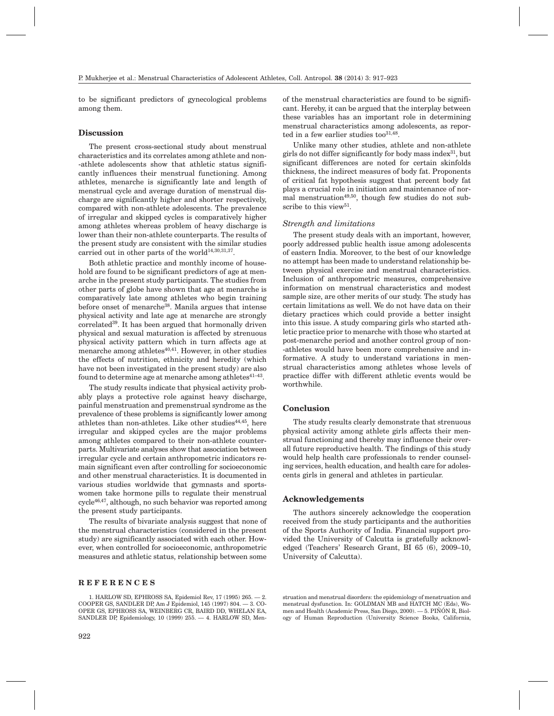to be significant predictors of gynecological problems among them.

## **Discussion**

The present cross-sectional study about menstrual characteristics and its correlates among athlete and non- -athlete adolescents show that athletic status significantly influences their menstrual functioning. Among athletes, menarche is significantly late and length of menstrual cycle and average duration of menstrual discharge are significantly higher and shorter respectively, compared with non-athlete adolescents. The prevalence of irregular and skipped cycles is comparatively higher among athletes whereas problem of heavy discharge is lower than their non-athlete counterparts. The results of the present study are consistent with the similar studies carried out in other parts of the world<sup>14,30,31,37</sup>.

Both athletic practice and monthly income of household are found to be significant predictors of age at menarche in the present study participants. The studies from other parts of globe have shown that age at menarche is comparatively late among athletes who begin training before onset of menarche38. Manila argues that intense physical activity and late age at menarche are strongly correlated<sup>39</sup>. It has been argued that hormonally driven physical and sexual maturation is affected by strenuous physical activity pattern which in turn affects age at menarche among athletes $40,41$ . However, in other studies the effects of nutrition, ethnicity and heredity (which have not been investigated in the present study) are also found to determine age at menarche among athletes $41-43$ .

The study results indicate that physical activity probably plays a protective role against heavy discharge, painful menstruation and premenstrual syndrome as the prevalence of these problems is significantly lower among athletes than non-athletes. Like other studies $44,45$ , here irregular and skipped cycles are the major problems among athletes compared to their non-athlete counterparts. Multivariate analyses show that association between irregular cycle and certain anthropometric indicators remain significant even after controlling for socioeconomic and other menstrual characteristics. It is documented in various studies worldwide that gymnasts and sportswomen take hormone pills to regulate their menstrual cycle46,47, although, no such behavior was reported among the present study participants.

The results of bivariate analysis suggest that none of the menstrual characteristics (considered in the present study) are significantly associated with each other. However, when controlled for socioeconomic, anthropometric measures and athletic status, relationship between some

#### **REFERENCES**

922

of the menstrual characteristics are found to be significant. Hereby, it can be argued that the interplay between these variables has an important role in determining menstrual characteristics among adolescents, as reported in a few earlier studies too $31,48$ .

Unlike many other studies, athlete and non-athlete girls do not differ significantly for body mass index $31$ , but significant differences are noted for certain skinfolds thickness, the indirect measures of body fat. Proponents of critical fat hypothesis suggest that percent body fat plays a crucial role in initiation and maintenance of normal menstruation<sup> $49,50$ </sup>, though few studies do not subscribe to this view<sup>51</sup>.

#### *Strength and limitations*

The present study deals with an important, however, poorly addressed public health issue among adolescents of eastern India. Moreover, to the best of our knowledge no attempt has been made to understand relationship between physical exercise and menstrual characteristics. Inclusion of anthropometric measures, comprehensive information on menstrual characteristics and modest sample size, are other merits of our study. The study has certain limitations as well. We do not have data on their dietary practices which could provide a better insight into this issue. A study comparing girls who started athletic practice prior to menarche with those who started at post-menarche period and another control group of non- -athletes would have been more comprehensive and informative. A study to understand variations in menstrual characteristics among athletes whose levels of practice differ with different athletic events would be worthwhile.

#### **Conclusion**

The study results clearly demonstrate that strenuous physical activity among athlete girls affects their menstrual functioning and thereby may influence their overall future reproductive health. The findings of this study would help health care professionals to render counseling services, health education, and health care for adolescents girls in general and athletes in particular.

#### **Acknowledgements**

The authors sincerely acknowledge the cooperation received from the study participants and the authorities of the Sports Authority of India. Financial support provided the University of Calcutta is gratefully acknowledged (Teachers' Research Grant, BI 65 (6), 2009–10, University of Calcutta).

struation and menstrual disorders: the epidemiology of menstruation and menstrual dysfunction. In: GOLDMAN MB and HATCH MC (Eds), Women and Health (Academic Press, San Diego, 2000). –– 5. PIÑÓN R, Biology of Human Reproduction (University Science Books, California,

<sup>1.</sup> HARLOW SD, EPHROSS SA, Epidemiol Rev, 17 (1995) 265. –– 2. COOPER GS, SANDLER DP, Am J Epidemiol, 145 (1997) 804. –– 3. CO-OPER GS, EPHROSS SA, WEINBERG CR, BAIRD DD, WHELAN EA, SANDLER DP, Epidemiology, 10 (1999) 255. –– 4. HARLOW SD, Men-